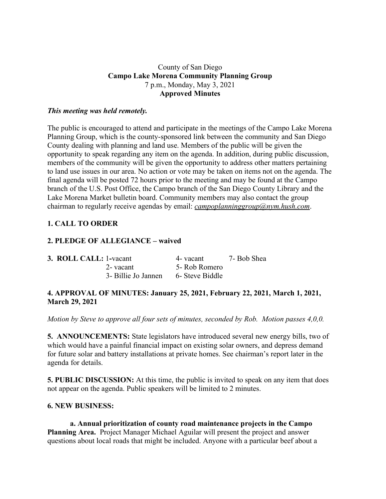#### County of San Diego **Campo Lake Morena Community Planning Group** 7 p.m., Monday, May 3, 2021 **Approved Minutes**

#### *This meeting was held remotely.*

The public is encouraged to attend and participate in the meetings of the Campo Lake Morena Planning Group, which is the county-sponsored link between the community and San Diego County dealing with planning and land use. Members of the public will be given the opportunity to speak regarding any item on the agenda. In addition, during public discussion, members of the community will be given the opportunity to address other matters pertaining to land use issues in our area. No action or vote may be taken on items not on the agenda. The final agenda will be posted 72 hours prior to the meeting and may be found at the Campo branch of the U.S. Post Office, the Campo branch of the San Diego County Library and the Lake Morena Market bulletin board. Community members may also contact the group chairman to regularly receive agendas by email: *campoplanninggroup@nym.hush.com*.

## **1. CALL TO ORDER**

#### **2. PLEDGE OF ALLEGIANCE – waived**

| <b>3. ROLL CALL: 1-vacant</b> |                     | 4- vacant       | 7- Bob Shea |
|-------------------------------|---------------------|-----------------|-------------|
|                               | 2- vacant           | 5- Rob Romero   |             |
|                               | 3- Billie Jo Jannen | 6- Steve Biddle |             |

## **4. APPROVAL OF MINUTES: January 25, 2021, February 22, 2021, March 1, 2021, March 29, 2021**

*Motion by Steve to approve all four sets of minutes, seconded by Rob. Motion passes 4,0,0.*

**5. ANNOUNCEMENTS:** State legislators have introduced several new energy bills, two of which would have a painful financial impact on existing solar owners, and depress demand for future solar and battery installations at private homes. See chairman's report later in the agenda for details.

**5. PUBLIC DISCUSSION:** At this time, the public is invited to speak on any item that does not appear on the agenda. Public speakers will be limited to 2 minutes.

#### **6. NEW BUSINESS:**

**a. Annual prioritization of county road maintenance projects in the Campo Planning Area.** Project Manager Michael Aguilar will present the project and answer questions about local roads that might be included. Anyone with a particular beef about a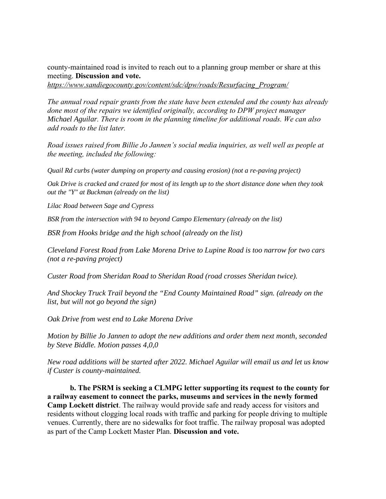county-maintained road is invited to reach out to a planning group member or share at this meeting. **Discussion and vote.**

*https://www.sandiegocounty.gov/content/sdc/dpw/roads/Resurfacing\_Program/*

*The annual road repair grants from the state have been extended and the county has already done most of the repairs we identified originally, according to DPW project manager Michael Aguilar. There is room in the planning timeline for additional roads. We can also add roads to the list later.*

*Road issues raised from Billie Jo Jannen's social media inquiries, as well well as people at the meeting, included the following:*

*Quail Rd curbs (water dumping on property and causing erosion) (not a re-paving project)*

Oak Drive is cracked and crazed for most of its length up to the short distance done when they took *out the "Y" at Buckman (already on the list)*

*Lilac Road between Sage and Cypress*

*BSR from the intersection with 94 to beyond Campo Elementary (already on the list)*

*BSR from Hooks bridge and the high school (already on the list)*

*Cleveland Forest Road from Lake Morena Drive to Lupine Road is too narrow for two cars (not a re-paving project)*

*Custer Road from Sheridan Road to Sheridan Road (road crosses Sheridan twice).*

*And Shockey Truck Trail beyond the "End County Maintained Road" sign. (already on the list, but will not go beyond the sign)*

*Oak Drive from west end to Lake Morena Drive*

*Motion by Billie Jo Jannen to adopt the new additions and order them next month, seconded by Steve Biddle. Motion passes 4,0,0*

*New road additions will be started after 2022. Michael Aguilar will email us and let us know if Custer is county-maintained.*

**b. The PSRM is seeking a CLMPG letter supporting its request to the county for a railway easement to connect the parks, museums and services in the newly formed Camp Lockett district**. The railway would provide safe and ready access for visitors and residents without clogging local roads with traffic and parking for people driving to multiple venues. Currently, there are no sidewalks for foot traffic. The railway proposal was adopted as part of the Camp Lockett Master Plan. **Discussion and vote.**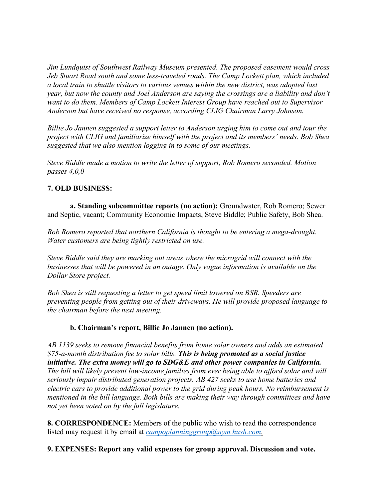*Jim Lundquist of Southwest Railway Museum presented. The proposed easement would cross Jeb Stuart Road south and some less-traveled roads. The Camp Lockett plan, which included a local train to shuttle visitors to various venues within the new district, was adopted last year, but now the county and Joel Anderson are saying the crossings are a liability and don't want to do them. Members of Camp Lockett Interest Group have reached out to Supervisor Anderson but have received no response, according CLIG Chairman Larry Johnson.*

*Billie Jo Jannen suggested a support letter to Anderson urging him to come out and tour the project with CLIG and familiarize himself with the project and its members' needs. Bob Shea suggested that we also mention logging in to some of our meetings.*

*Steve Biddle made a motion to write the letter of support, Rob Romero seconded. Motion passes 4,0,0*

# **7. OLD BUSINESS:**

**a. Standing subcommittee reports (no action):** Groundwater, Rob Romero; Sewer and Septic, vacant; Community Economic Impacts, Steve Biddle; Public Safety, Bob Shea.

*Rob Romero reported that northern California is thought to be entering a mega-drought. Water customers are being tightly restricted on use.*

*Steve Biddle said they are marking out areas where the microgrid will connect with the businesses that will be powered in an outage. Only vague information is available on the Dollar Store project.*

*Bob Shea is still requesting a letter to get speed limit lowered on BSR. Speeders are preventing people from getting out of their driveways. He will provide proposed language to the chairman before the next meeting.*

## **b. Chairman's report, Billie Jo Jannen (no action).**

*AB 1139 seeks to remove financial benefits from home solar owners and adds an estimated \$75-a-month distribution fee to solar bills. This is being promoted as a social justice initiative. The extra money will go to SDG&E and other power companies in California. The bill will likely prevent low-income families from ever being able to afford solar and will seriously impair distributed generation projects. AB 427 seeks to use home batteries and electric cars to provide additional power to the grid during peak hours. No reimbursement is mentioned in the bill language. Both bills are making their way through committees and have not yet been voted on by the full legislature.*

**8. CORRESPONDENCE:** Members of the public who wish to read the correspondence listed may request it by email at *campoplanninggroup@nym.hush.com.*

**9. EXPENSES: Report any valid expenses for group approval. Discussion and vote.**